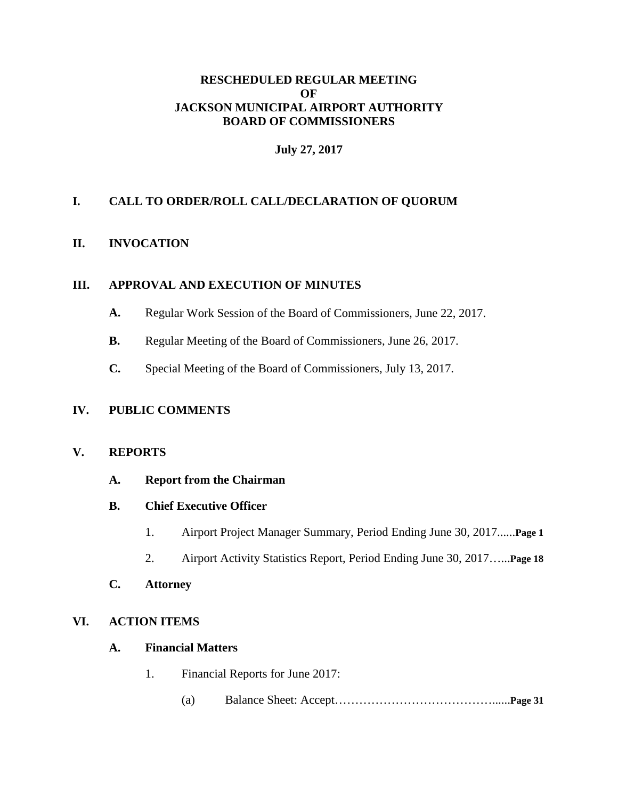### **RESCHEDULED REGULAR MEETING OF JACKSON MUNICIPAL AIRPORT AUTHORITY BOARD OF COMMISSIONERS**

### **July 27, 2017**

## **I. CALL TO ORDER/ROLL CALL/DECLARATION OF QUORUM**

#### **II. INVOCATION**

#### **III. APPROVAL AND EXECUTION OF MINUTES**

- **A.** Regular Work Session of the Board of Commissioners, June 22, 2017.
- **B.** Regular Meeting of the Board of Commissioners, June 26, 2017.
- **C.** Special Meeting of the Board of Commissioners, July 13, 2017.

#### **IV. PUBLIC COMMENTS**

### **V. REPORTS**

- **A. Report from the Chairman**
- **B. Chief Executive Officer**
	- 1. Airport Project Manager Summary, Period Ending June 30, 2017......**Page 1**
	- 2. Airport Activity Statistics Report, Period Ending June 30, 2017…...**Page 18**

# **C. Attorney**

#### **VI. ACTION ITEMS**

#### **A. Financial Matters**

- 1. Financial Reports for June 2017:
	- (a) Balance Sheet: Accept…………………………………......**Page 31**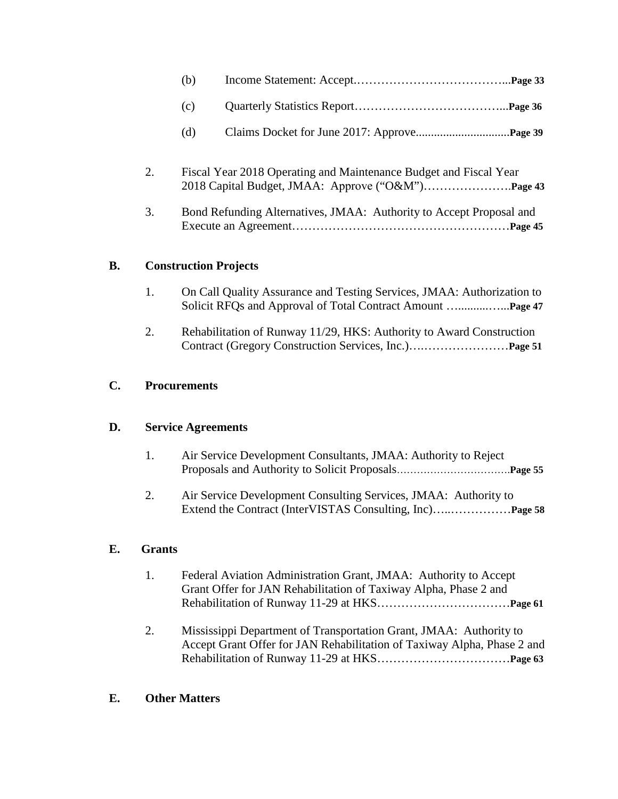| (b) |                                                                   |  |
|-----|-------------------------------------------------------------------|--|
| (c) |                                                                   |  |
| (d) |                                                                   |  |
|     | Fiscal Year 2018 Operating and Maintenance Budget and Fiscal Year |  |

2018 Capital Budget, JMAA: Approve ("O&M")………………….**Page 43**

3. Bond Refunding Alternatives, JMAA: Authority to Accept Proposal and Execute an Agreement………………………………………………**Page 45**

### **B. Construction Projects**

- 1. On Call Quality Assurance and Testing Services, JMAA: Authorization to Solicit RFQs and Approval of Total Contract Amount …..........…...**Page 47**
- 2. Rehabilitation of Runway 11/29, HKS: Authority to Award Construction Contract (Gregory Construction Services, Inc.)….…………………**Page 51**

### **C. Procurements**

### **D. Service Agreements**

- 1. Air Service Development Consultants, JMAA: Authority to Reject Proposals and Authority to Solicit Proposals…………………………….**Page 55**
- 2. Air Service Development Consulting Services, JMAA: Authority to Extend the Contract (InterVISTAS Consulting, Inc)…..……………**Page 58**

### **E. Grants**

- 1. Federal Aviation Administration Grant, JMAA: Authority to Accept Grant Offer for JAN Rehabilitation of Taxiway Alpha, Phase 2 and Rehabilitation of Runway 11-29 at HKS……………………………**Page 61**
- 2. Mississippi Department of Transportation Grant, JMAA: Authority to Accept Grant Offer for JAN Rehabilitation of Taxiway Alpha, Phase 2 and Rehabilitation of Runway 11-29 at HKS……………………………**Page 63**

### **E. Other Matters**